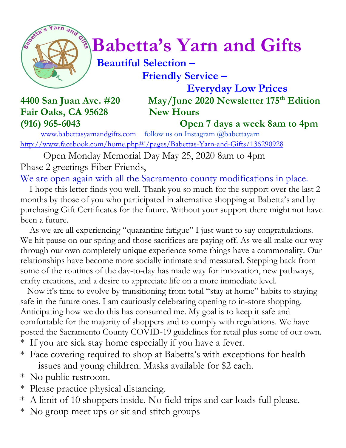

## $\int_{\mathbb{R}}^{\mathbb{R}} \mathbb{R}^n \left( \frac{d}{dx} \right)^{1/2} dx$  Babetta's Yarn and Gifts

## **Beautiful Selection – Friendly Service –**

 **Everyday Low Prices 4400 San Juan Ave. #20 May/June 2020 Newsletter 175th Edition**

## Fair Oaks, CA 95628 New Hours

**(916) 965-6043 Open 7 days a week 8am to 4pm**

[www.babettasyarnandgifts.com](http://www.babettasyarnandgifts.com/) follow us on Instagram @babettayarn <http://www.facebook.com/home.php#!/pages/Babettas-Yarn-and-Gifts/136290928>

 Open Monday Memorial Day May 25, 2020 8am to 4pm Phase 2 greetings Fiber Friends,

We are open again with all the Sacramento county modifications in place.

 I hope this letter finds you well. Thank you so much for the support over the last 2 months by those of you who participated in alternative shopping at Babetta's and by purchasing Gift Certificates for the future. Without your support there might not have been a future.

As we are all experiencing "quarantine fatigue" I just want to say congratulations. We hit pause on our spring and those sacrifices are paying off. As we all make our way through our own completely unique experience some things have a commonality. Our relationships have become more socially intimate and measured. Stepping back from some of the routines of the day-to-day has made way for innovation, new pathways, crafty creations, and a desire to appreciate life on a more immediate level.

 Now it's time to evolve by transitioning from total "stay at home" habits to staying safe in the future ones. I am cautiously celebrating opening to in-store shopping. Anticipating how we do this has consumed me. My goal is to keep it safe and comfortable for the majority of shoppers and to comply with regulations. We have posted the Sacramento County COVID-19 guidelines for retail plus some of our own.

- \* If you are sick stay home especially if you have a fever.
- \* Face covering required to shop at Babetta's with exceptions for health issues and young children. Masks available for \$2 each.
- \* No public restroom.
- \* Please practice physical distancing.
- \* A limit of 10 shoppers inside. No field trips and car loads full please.
- \* No group meet ups or sit and stitch groups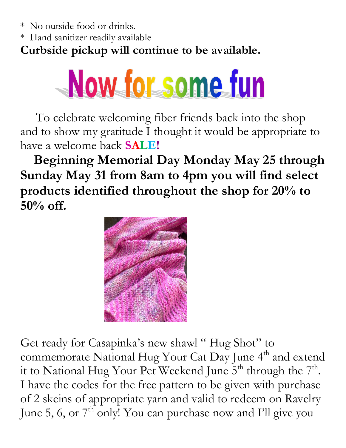\* No outside food or drinks.

\* Hand sanitizer readily available

**Curbside pickup will continue to be available.** 



 To celebrate welcoming fiber friends back into the shop and to show my gratitude I thought it would be appropriate to have a welcome back **SALE!**

 **Beginning Memorial Day Monday May 25 through Sunday May 31 from 8am to 4pm you will find select products identified throughout the shop for 20% to 50% off.**



Get ready for Casapinka's new shawl " Hug Shot" to commemorate National Hug Your Cat Day June  $4<sup>th</sup>$  and extend it to National Hug Your Pet Weekend June  $5^{\text{th}}$  through the  $7^{\text{th}}$ . I have the codes for the free pattern to be given with purchase of 2 skeins of appropriate yarn and valid to redeem on Ravelry June 5, 6, or  $7<sup>th</sup>$  only! You can purchase now and I'll give you